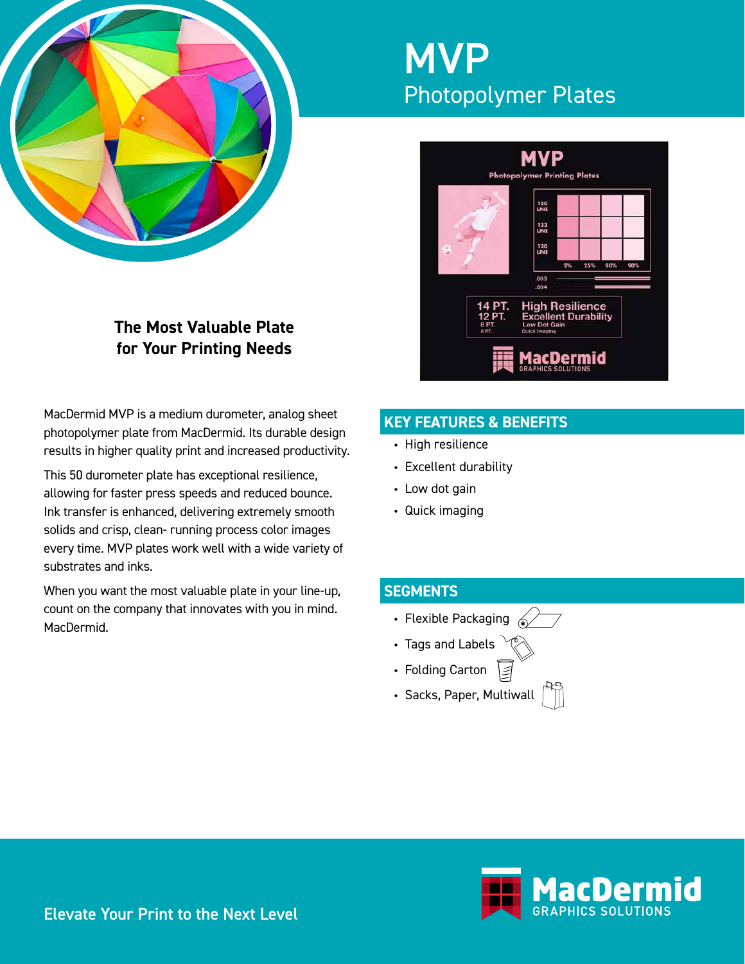

# **MVP** Photopolymer Plates



# **The Most Valuable Plate for Your Printing Needs**

MacDermid MVP is a medium durometer, analog sheet photopolymer plate from MacDermid. Its durable design results in higher quality print and increased productivity.

This 50 durometer plate has exceptional resilience, allowing for faster press speeds and reduced bounce. Ink transfer is enhanced, delivering extremely smooth solids and crisp, clean- running process color images every time. MVP plates work well with a wide variety of substrates and inks.

When you want the most valuable plate in your line-up, count on the company that innovates with you in mind. MacDermid.

# **KEY FEATURES & BENEFITS**

- High resilience
- Excellent durability
- Low dot gain
- Quick imaging

# **SEGMENTS**

- Flexible Packaging  $\mathcal{L}$
- Tags and Labels
- Folding Carton
- Sacks, Paper, Multiwall